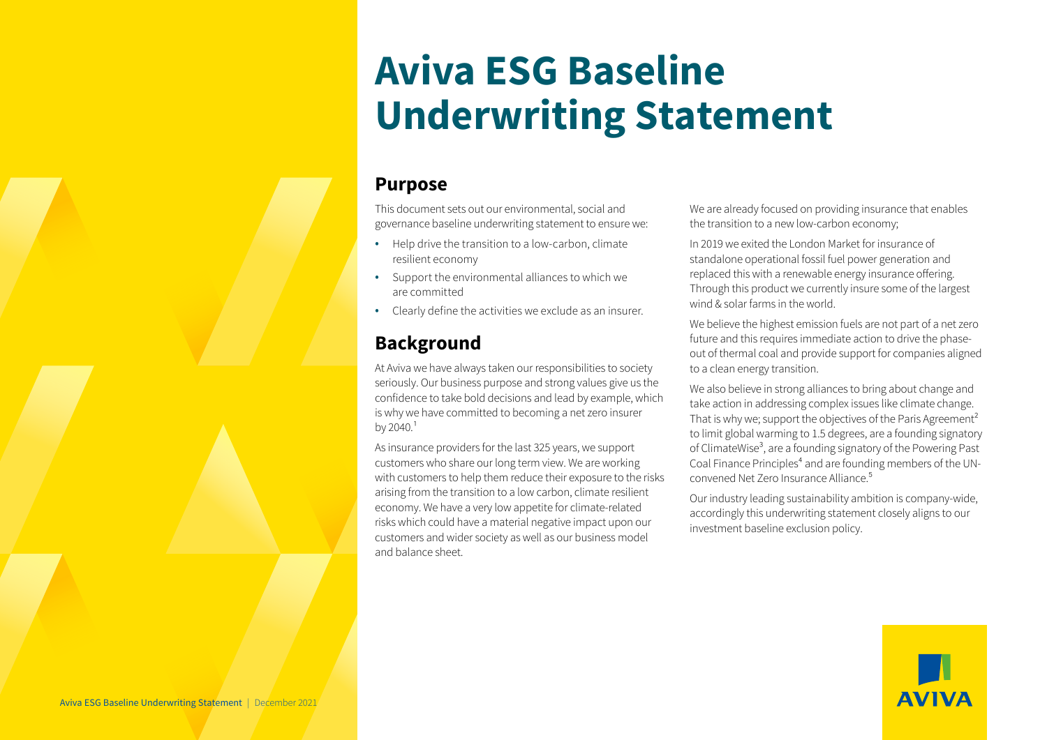# **Aviva ESG Baseline Underwriting Statement**

## **Purpose**

This document sets out our environmental, social and governance baseline underwriting statement to ensure we:

- Help drive the transition to a low-carbon, climate resilient economy
- Support the environmental alliances to which we are committed
- Clearly define the activities we exclude as an insurer.

# **Background**

At Aviva we have always taken our responsibilities to society seriously. Our business purpose and strong values give us the confidence to take bold decisions and lead by example, which is why we have committed to becoming a net zero insurer by  $2040<sup>1</sup>$ 

As insurance providers for the last 325 years, we support customers who share our long term view. We are working with customers to help them reduce their exposure to the risks arising from the transition to a low carbon, climate resilient economy. We have a very low appetite for climate-related risks which could have a material negative impact upon our customers and wider society as well as our business model and balance sheet.

We are already focused on providing insurance that enables the transition to a new low-carbon economy;

In 2019 we exited the London Market for insurance of standalone operational fossil fuel power generation and replaced this with a renewable energy insurance offering. Through this product we currently insure some of the largest wind & solar farms in the world.

We believe the highest emission fuels are not part of a net zero future and this requires immediate action to drive the phaseout of thermal coal and provide support for companies aligned to a clean energy transition.

We also believe in strong alliances to bring about change and take action in addressing complex issues like climate change. That is why we; support the objectives of the Paris Agreement<sup>2</sup> to limit global warming to 1.5 degrees, are a founding signatory of ClimateWise<sup>3</sup>, are a founding signatory of the Powering Past Coal Finance Principles<sup>4</sup> and are founding members of the UNconvened Net Zero Insurance Alliance.<sup>5</sup>

Our industry leading sustainability ambition is company-wide, accordingly this underwriting statement closely aligns to our investment baseline exclusion policy.

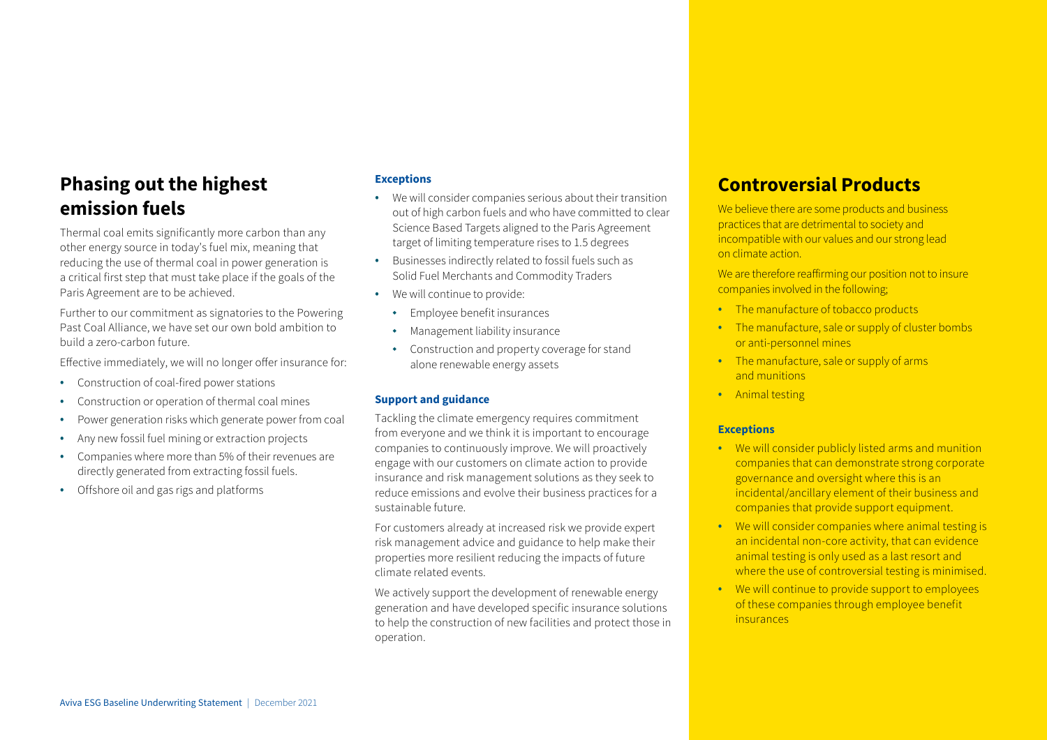# **Phasing out the highest emission fuels**

Thermal coal emits significantly more carbon than any other energy source in today's fuel mix, meaning that reducing the use of thermal coal in power generation is a critical first step that must take place if the goals of the Paris Agreement are to be achieved.

Further to our commitment as signatories to the Powering Past Coal Alliance, we have set our own bold ambition to build a zero-carbon future.

Effective immediately, we will no longer offer insurance for:

- Construction of coal-fired power stations
- Construction or operation of thermal coal mines
- Power generation risks which generate power from coal
- Any new fossil fuel mining or extraction projects
- Companies where more than 5% of their revenues are directly generated from extracting fossil fuels.
- Offshore oil and gas rigs and platforms

#### **Exceptions**

- We will consider companies serious about their transition out of high carbon fuels and who have committed to clear Science Based Targets aligned to the Paris Agreement target of limiting temperature rises to 1.5 degrees
- Businesses indirectly related to fossil fuels such as Solid Fuel Merchants and Commodity Traders
- We will continue to provide:
	- ◆ Employee benefit insurances
	- ◆ Management liability insurance
	- ◆ Construction and property coverage for stand alone renewable energy assets

#### **Support and guidance**

Tackling the climate emergency requires commitment from everyone and we think it is important to encourage companies to continuously improve. We will proactively engage with our customers on climate action to provide insurance and risk management solutions as they seek to reduce emissions and evolve their business practices for a sustainable future.

For customers already at increased risk we provide expert risk management advice and guidance to help make their properties more resilient reducing the impacts of future climate related events.

We actively support the development of renewable energy generation and have developed specific insurance solutions to help the construction of new facilities and protect those in operation.

# **Controversial Products**

We believe there are some products and business practices that are detrimental to society and incompatible with our values and our strong lead on climate action.

We are therefore reaffirming our position not to insure companies involved in the following;

- The manufacture of tobacco products
- The manufacture, sale or supply of cluster bombs or anti-personnel mines
- The manufacture, sale or supply of arms and munitions
- Animal testing

#### **Exceptions**

- We will consider publicly listed arms and munition companies that can demonstrate strong corporate governance and oversight where this is an incidental/ancillary element of their business and companies that provide support equipment.
- We will consider companies where animal testing is an incidental non-core activity, that can evidence animal testing is only used as a last resort and where the use of controversial testing is minimised.
- We will continue to provide support to employees of these companies through employee benefit insurances